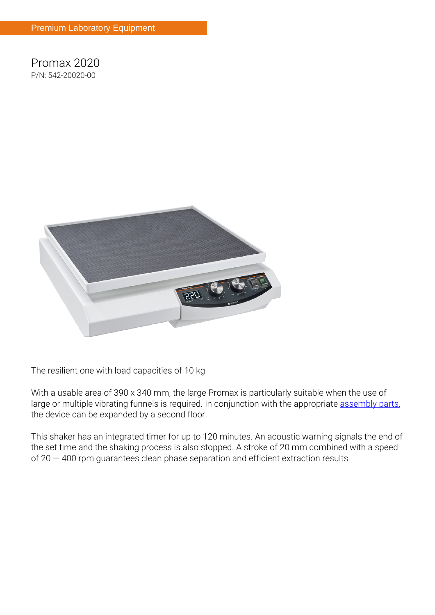**Promax 2020 P/N: 542-20020-00**



**The resilient one with load capacities of 10 kg**

With a usable area of 390 x 340 mm, the large Promax is particularly suitable when the use of large or multiple vibrating funnels is required. In conjunction with the appropriate [assembly parts,](/en/products/Accessories-for-Unimax-2010-Promax-2020-Polymax-2040/Multi-tier-attachment~p1914) the device can be expanded by a second floor.

This shaker has an integrated timer for up to 120 minutes. An acoustic warning signals the end of the set time and the shaking process is also stopped. A stroke of 20 mm combined with a speed of 20 — 400 rpm guarantees clean phase separation and efficient extraction results.